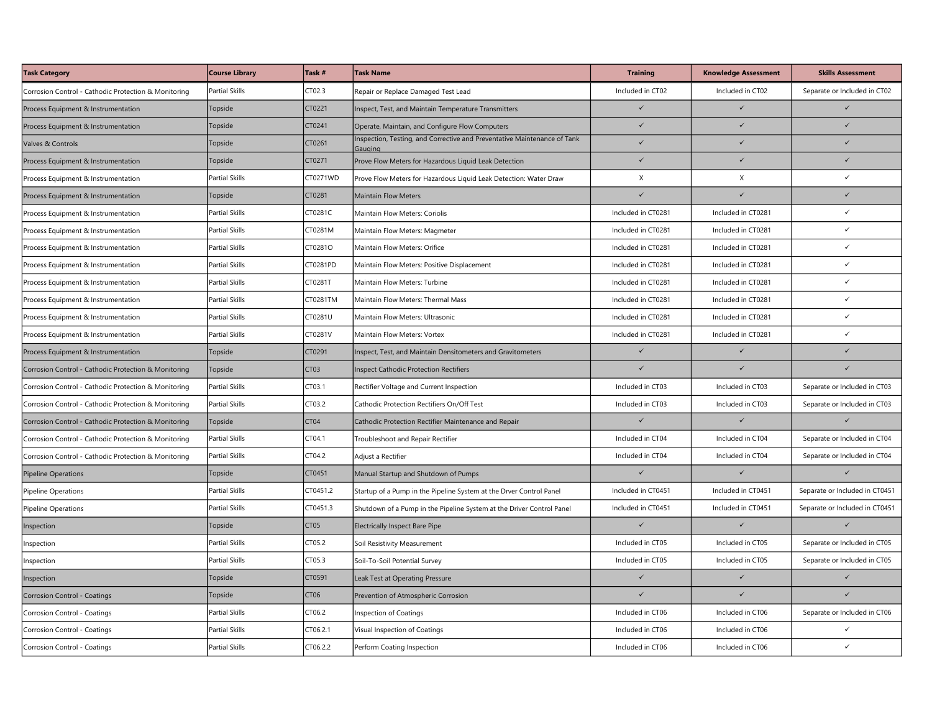| <b>Task Category</b>                                 | <b>Course Library</b> | Task #           | <b>Task Name</b>                                                                    | <b>Training</b>    | <b>Knowledge Assessment</b> | <b>Skills Assessment</b>       |
|------------------------------------------------------|-----------------------|------------------|-------------------------------------------------------------------------------------|--------------------|-----------------------------|--------------------------------|
| Corrosion Control - Cathodic Protection & Monitoring | <b>Partial Skills</b> | CT02.3           | Repair or Replace Damaged Test Lead                                                 | Included in CT02   | Included in CT02            | Separate or Included in CT02   |
| Process Equipment & Instrumentation                  | Topside               | CT0221           | Inspect, Test, and Maintain Temperature Transmitters                                | $\checkmark$       | $\checkmark$                | $\checkmark$                   |
| Process Equipment & Instrumentation                  | Topside               | CT0241           | Operate, Maintain, and Configure Flow Computers                                     | $\checkmark$       | $\checkmark$                | $\checkmark$                   |
| Valves & Controls                                    | Topside               | CT0261           | Inspection, Testing, and Corrective and Preventative Maintenance of Tank<br>Gauging | $\checkmark$       | $\checkmark$                | $\checkmark$                   |
| Process Equipment & Instrumentation                  | Topside               | CT0271           | Prove Flow Meters for Hazardous Liquid Leak Detection                               | $\checkmark$       | $\checkmark$                | $\checkmark$                   |
| Process Equipment & Instrumentation                  | Partial Skills        | CT0271WD         | Prove Flow Meters for Hazardous Liquid Leak Detection: Water Draw                   | X                  | $\mathsf X$                 | $\checkmark$                   |
| Process Equipment & Instrumentation                  | Topside               | CT0281           | <b>Maintain Flow Meters</b>                                                         | $\checkmark$       | $\checkmark$                |                                |
| Process Equipment & Instrumentation                  | Partial Skills        | CT0281C          | Maintain Flow Meters: Coriolis                                                      | Included in CT0281 | Included in CT0281          | $\checkmark$                   |
| Process Equipment & Instrumentation                  | Partial Skills        | CT0281M          | Maintain Flow Meters: Magmeter                                                      | Included in CT0281 | Included in CT0281          | $\checkmark$                   |
| Process Equipment & Instrumentation                  | Partial Skills        | CT0281O          | Maintain Flow Meters: Orifice                                                       | Included in CT0281 | Included in CT0281          | $\checkmark$                   |
| Process Equipment & Instrumentation                  | <b>Partial Skills</b> | CT0281PD         | Maintain Flow Meters: Positive Displacement                                         | Included in CT0281 | Included in CT0281          | ✓                              |
| Process Equipment & Instrumentation                  | <b>Partial Skills</b> | CT0281T          | Maintain Flow Meters: Turbine                                                       | Included in CT0281 | Included in CT0281          | $\checkmark$                   |
| Process Equipment & Instrumentation                  | <b>Partial Skills</b> | CT0281TM         | Maintain Flow Meters: Thermal Mass                                                  | Included in CT0281 | Included in CT0281          | $\checkmark$                   |
| Process Equipment & Instrumentation                  | Partial Skills        | CT0281U          | Maintain Flow Meters: Ultrasonic                                                    | Included in CT0281 | Included in CT0281          | $\checkmark$                   |
| Process Equipment & Instrumentation                  | <b>Partial Skills</b> | CT0281V          | Maintain Flow Meters: Vortex                                                        | Included in CT0281 | Included in CT0281          | ✓                              |
| Process Equipment & Instrumentation                  | Topside               | CT0291           | Inspect, Test, and Maintain Densitometers and Gravitometers                         | $\checkmark$       | $\checkmark$                | $\checkmark$                   |
| Corrosion Control - Cathodic Protection & Monitoring | Topside               | CT <sub>03</sub> | <b>Inspect Cathodic Protection Rectifiers</b>                                       | $\checkmark$       | $\checkmark$                | $\checkmark$                   |
| Corrosion Control - Cathodic Protection & Monitoring | <b>Partial Skills</b> | CT03.1           | Rectifier Voltage and Current Inspection                                            | Included in CT03   | Included in CT03            | Separate or Included in CT03   |
| Corrosion Control - Cathodic Protection & Monitoring | <b>Partial Skills</b> | CT03.2           | Cathodic Protection Rectifiers On/Off Test                                          | Included in CT03   | Included in CT03            | Separate or Included in CT03   |
| Corrosion Control - Cathodic Protection & Monitoring | Topside               | CT04             | Cathodic Protection Rectifier Maintenance and Repair                                | $\checkmark$       | $\checkmark$                | $\checkmark$                   |
| Corrosion Control - Cathodic Protection & Monitoring | <b>Partial Skills</b> | CT04.1           | Troubleshoot and Repair Rectifier                                                   | Included in CT04   | Included in CT04            | Separate or Included in CT04   |
| Corrosion Control - Cathodic Protection & Monitoring | <b>Partial Skills</b> | CT04.2           | Adjust a Rectifier                                                                  | Included in CT04   | Included in CT04            | Separate or Included in CT04   |
| Pipeline Operations                                  | Topside               | CT0451           | Manual Startup and Shutdown of Pumps                                                | $\checkmark$       | $\checkmark$                | $\checkmark$                   |
| Pipeline Operations                                  | Partial Skills        | CT0451.2         | Startup of a Pump in the Pipeline System at the Drver Control Panel                 | Included in CT0451 | Included in CT0451          | Separate or Included in CT0451 |
| Pipeline Operations                                  | Partial Skills        | CT0451.3         | Shutdown of a Pump in the Pipeline System at the Driver Control Panel               | Included in CT0451 | Included in CT0451          | Separate or Included in CT0451 |
| Inspection                                           | Topside               | CT <sub>05</sub> | <b>Electrically Inspect Bare Pipe</b>                                               | $\checkmark$       | $\checkmark$                | $\checkmark$                   |
| Inspection                                           | <b>Partial Skills</b> | CT05.2           | Soil Resistivity Measurement                                                        | Included in CT05   | Included in CT05            | Separate or Included in CT05   |
| Inspection                                           | <b>Partial Skills</b> | CT05.3           | Soil-To-Soil Potential Survey                                                       | Included in CT05   | Included in CT05            | Separate or Included in CT05   |
| Inspection                                           | Topside               | CT0591           | Leak Test at Operating Pressure                                                     | $\checkmark$       | $\checkmark$                | $\checkmark$                   |
| Corrosion Control - Coatings                         | Topside               | CT <sub>06</sub> | Prevention of Atmospheric Corrosion                                                 | $\checkmark$       | $\overline{1}$              | $\checkmark$                   |
| Corrosion Control - Coatings                         | Partial Skills        | CT06.2           | <b>Inspection of Coatings</b>                                                       | Included in CT06   | Included in CT06            | Separate or Included in CT06   |
| Corrosion Control - Coatings                         | <b>Partial Skills</b> | CT06.2.1         | Visual Inspection of Coatings                                                       | Included in CT06   | Included in CT06            | ✓                              |
| Corrosion Control - Coatings                         | <b>Partial Skills</b> | CT06.2.2         | Perform Coating Inspection                                                          | Included in CT06   | Included in CT06            | ✓                              |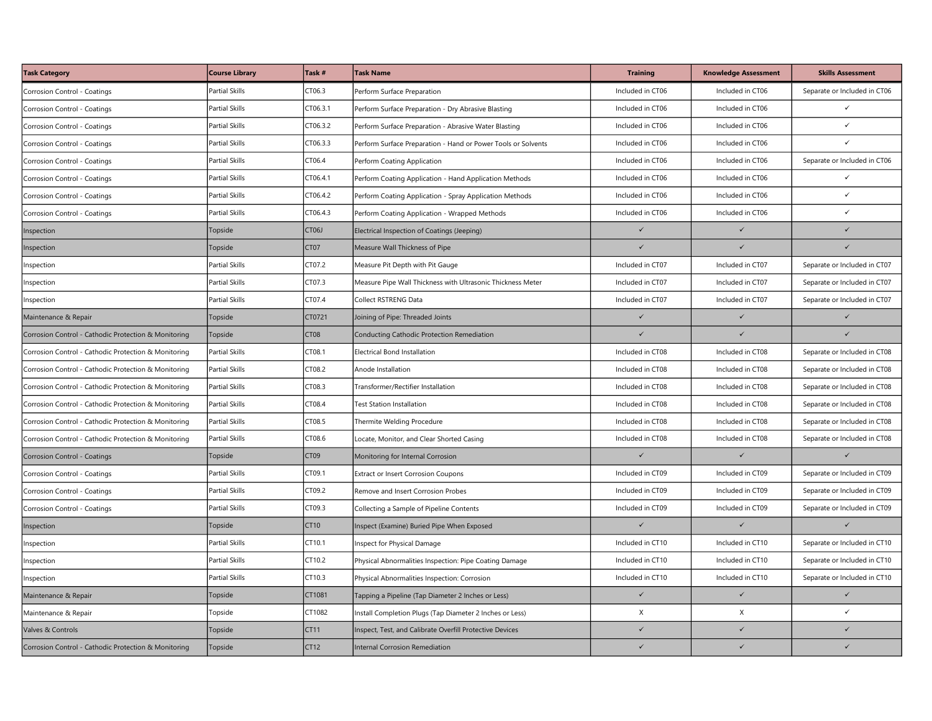| <b>Task Category</b>                                 | <b>Course Library</b> | Task #             | <b>Task Name</b>                                              | <b>Training</b>  | <b>Knowledge Assessment</b> | <b>Skills Assessment</b>     |
|------------------------------------------------------|-----------------------|--------------------|---------------------------------------------------------------|------------------|-----------------------------|------------------------------|
| Corrosion Control - Coatings                         | <b>Partial Skills</b> | CT06.3             | Perform Surface Preparation                                   | Included in CT06 | Included in CT06            | Separate or Included in CT06 |
| Corrosion Control - Coatings                         | Partial Skills        | CT06.3.1           | Perform Surface Preparation - Dry Abrasive Blasting           | Included in CT06 | Included in CT06            | ✓                            |
| Corrosion Control - Coatings                         | <b>Partial Skills</b> | CT06.3.2           | Perform Surface Preparation - Abrasive Water Blasting         | Included in CT06 | Included in CT06            | $\checkmark$                 |
| Corrosion Control - Coatings                         | <b>Partial Skills</b> | CT06.3.3           | Perform Surface Preparation - Hand or Power Tools or Solvents | Included in CT06 | Included in CT06            | $\checkmark$                 |
| Corrosion Control - Coatings                         | Partial Skills        | CT06.4             | Perform Coating Application                                   | Included in CT06 | Included in CT06            | Separate or Included in CT06 |
| Corrosion Control - Coatings                         | Partial Skills        | CT06.4.1           | Perform Coating Application - Hand Application Methods        | Included in CT06 | Included in CT06            | ✓                            |
| Corrosion Control - Coatings                         | Partial Skills        | CT06.4.2           | Perform Coating Application - Spray Application Methods       | Included in CT06 | Included in CT06            | $\checkmark$                 |
| Corrosion Control - Coatings                         | <b>Partial Skills</b> | CT06.4.3           | Perform Coating Application - Wrapped Methods                 | Included in CT06 | Included in CT06            | $\checkmark$                 |
| Inspection                                           | Topside               | CT <sub>06</sub> J | Electrical Inspection of Coatings (Jeeping)                   | $\checkmark$     | $\checkmark$                |                              |
| Inspection                                           | Topside               | CT <sub>07</sub>   | Measure Wall Thickness of Pipe                                | $\checkmark$     | $\checkmark$                | $\checkmark$                 |
| Inspection                                           | <b>Partial Skills</b> | CT07.2             | Measure Pit Depth with Pit Gauge                              | Included in CT07 | Included in CT07            | Separate or Included in CT07 |
| Inspection                                           | <b>Partial Skills</b> | CT07.3             | Measure Pipe Wall Thickness with Ultrasonic Thickness Meter   | Included in CT07 | Included in CT07            | Separate or Included in CT07 |
| Inspection                                           | <b>Partial Skills</b> | CT07.4             | Collect RSTRENG Data                                          | Included in CT07 | Included in CT07            | Separate or Included in CT07 |
| Maintenance & Repair                                 | Topside               | CT0721             | Joining of Pipe: Threaded Joints                              | $\checkmark$     | $\checkmark$                | $\checkmark$                 |
| Corrosion Control - Cathodic Protection & Monitoring | Topside               | CT <sub>08</sub>   | Conducting Cathodic Protection Remediation                    | $\checkmark$     | $\checkmark$                | $\checkmark$                 |
| Corrosion Control - Cathodic Protection & Monitoring | Partial Skills        | CT08.1             | <b>Electrical Bond Installation</b>                           | Included in CT08 | Included in CT08            | Separate or Included in CT08 |
| Corrosion Control - Cathodic Protection & Monitoring | Partial Skills        | CT08.2             | Anode Installation                                            | Included in CT08 | Included in CT08            | Separate or Included in CT08 |
| Corrosion Control - Cathodic Protection & Monitoring | <b>Partial Skills</b> | CT08.3             | Fransformer/Rectifier Installation                            | Included in CT08 | Included in CT08            | Separate or Included in CT08 |
| Corrosion Control - Cathodic Protection & Monitoring | Partial Skills        | CT08.4             | <b>Test Station Installation</b>                              | Included in CT08 | Included in CT08            | Separate or Included in CT08 |
| Corrosion Control - Cathodic Protection & Monitoring | <b>Partial Skills</b> | CT08.5             | Thermite Welding Procedure                                    | Included in CT08 | Included in CT08            | Separate or Included in CT08 |
| Corrosion Control - Cathodic Protection & Monitoring | <b>Partial Skills</b> | CT08.6             | Locate, Monitor, and Clear Shorted Casing                     | Included in CT08 | Included in CT08            | Separate or Included in CT08 |
| Corrosion Control - Coatings                         | Topside               | CT <sub>09</sub>   | Monitoring for Internal Corrosion                             | $\checkmark$     | $\checkmark$                | $\checkmark$                 |
| Corrosion Control - Coatings                         | <b>Partial Skills</b> | CT09.1             | Extract or Insert Corrosion Coupons                           | Included in CT09 | Included in CT09            | Separate or Included in CT09 |
| Corrosion Control - Coatings                         | <b>Partial Skills</b> | CT09.2             | Remove and Insert Corrosion Probes                            | Included in CT09 | Included in CT09            | Separate or Included in CT09 |
| Corrosion Control - Coatings                         | <b>Partial Skills</b> | CT09.3             | Collecting a Sample of Pipeline Contents                      | Included in CT09 | Included in CT09            | Separate or Included in CT09 |
| Inspection                                           | Topside               | CT10               | Inspect (Examine) Buried Pipe When Exposed                    | $\checkmark$     | $\checkmark$                | $\checkmark$                 |
| Inspection                                           | Partial Skills        | CT10.1             | Inspect for Physical Damage                                   | Included in CT10 | Included in CT10            | Separate or Included in CT10 |
| Inspection                                           | Partial Skills        | CT10.2             | Physical Abnormalities Inspection: Pipe Coating Damage        | Included in CT10 | Included in CT10            | Separate or Included in CT10 |
| nspection                                            | <b>Partial Skills</b> | CT10.3             | Physical Abnormalities Inspection: Corrosion                  | Included in CT10 | Included in CT10            | Separate or Included in CT10 |
| Maintenance & Repair                                 | Topside               | CT1081             | Tapping a Pipeline (Tap Diameter 2 Inches or Less)            | $\checkmark$     | $\checkmark$                | $\checkmark$                 |
| Maintenance & Repair                                 | Topside               | CT1082             | Install Completion Plugs (Tap Diameter 2 Inches or Less)      | X                | X                           | $\checkmark$                 |
| Valves & Controls                                    | Topside               | CT11               | Inspect, Test, and Calibrate Overfill Protective Devices      | $\checkmark$     | $\checkmark$                | $\checkmark$                 |
| Corrosion Control - Cathodic Protection & Monitoring | Topside               | CT12               | <b>Internal Corrosion Remediation</b>                         | $\checkmark$     | $\checkmark$                | $\checkmark$                 |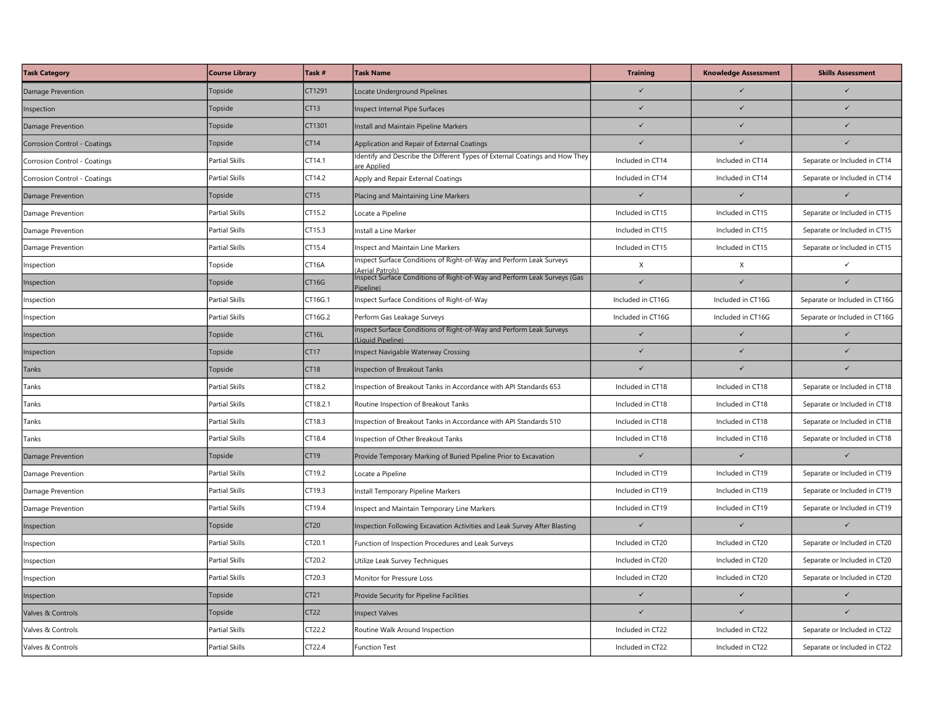| <b>Task Category</b>         | <b>Course Library</b> | Task #            | <b>Task Name</b>                                                                          | <b>Training</b>   | <b>Knowledge Assessment</b> | <b>Skills Assessment</b>      |
|------------------------------|-----------------------|-------------------|-------------------------------------------------------------------------------------------|-------------------|-----------------------------|-------------------------------|
| Damage Prevention            | Topside               | CT1291            | ocate Underground Pipelines                                                               | $\checkmark$      |                             |                               |
| Inspection                   | Topside               | CT13              | Inspect Internal Pipe Surfaces                                                            | $\checkmark$      | $\checkmark$                |                               |
| Damage Prevention            | Topside               | CT1301            | Install and Maintain Pipeline Markers                                                     | $\checkmark$      | $\checkmark$                | $\checkmark$                  |
| Corrosion Control - Coatings | Topside               | CT14              | Application and Repair of External Coatings                                               |                   |                             |                               |
| Corrosion Control - Coatings | Partial Skills        | CT14.1            | Identify and Describe the Different Types of External Coatings and How They<br>re Applied | Included in CT14  | Included in CT14            | Separate or Included in CT14  |
| Corrosion Control - Coatings | <b>Partial Skills</b> | CT14.2            | Apply and Repair External Coatings                                                        | Included in CT14  | Included in CT14            | Separate or Included in CT14  |
| Damage Prevention            | Topside               | CT <sub>15</sub>  | Placing and Maintaining Line Markers                                                      | $\checkmark$      | $\checkmark$                | $\checkmark$                  |
| Damage Prevention            | <b>Partial Skills</b> | CT15.2            | Locate a Pipeline                                                                         | Included in CT15  | Included in CT15            | Separate or Included in CT15  |
| Damage Prevention            | <b>Partial Skills</b> | CT15.3            | nstall a Line Marker                                                                      | Included in CT15  | Included in CT15            | Separate or Included in CT15  |
| Damage Prevention            | Partial Skills        | CT15.4            | Inspect and Maintain Line Markers                                                         | Included in CT15  | Included in CT15            | Separate or Included in CT15  |
| Inspection                   | Topside               | CT16A             | nspect Surface Conditions of Right-of-Way and Perform Leak Surveys<br>Aerial Patrols)     | X                 | X                           | $\checkmark$                  |
| Inspection                   | Topside               | CT16G             | Inspect Surface Conditions of Right-of-Way and Perform Leak Surveys (Gas<br>ipeline)      | $\checkmark$      | $\checkmark$                | $\checkmark$                  |
| Inspection                   | <b>Partial Skills</b> | CT16G.1           | Inspect Surface Conditions of Right-of-Way                                                | Included in CT16G | Included in CT16G           | Separate or Included in CT16G |
| Inspection                   | <b>Partial Skills</b> | CT16G.2           | Perform Gas Leakage Surveys                                                               | Included in CT16G | Included in CT16G           | Separate or Included in CT16G |
| Inspection                   | Topside               | CT <sub>16L</sub> | Inspect Surface Conditions of Right-of-Way and Perform Leak Surveys<br>Liquid Pipeline)   | $\checkmark$      | $\checkmark$                | $\checkmark$                  |
| Inspection                   | Topside               | CT17              | Inspect Navigable Waterway Crossing                                                       | $\checkmark$      | $\checkmark$                | $\checkmark$                  |
| Tanks                        | Topside               | CT18              | <b>Inspection of Breakout Tanks</b>                                                       | $\checkmark$      | $\checkmark$                | $\checkmark$                  |
| Tanks                        | <b>Partial Skills</b> | CT18.2            | nspection of Breakout Tanks in Accordance with API Standards 653                          | Included in CT18  | Included in CT18            | Separate or Included in CT18  |
| Tanks                        | <b>Partial Skills</b> | CT18.2.1          | Routine Inspection of Breakout Tanks                                                      | Included in CT18  | Included in CT18            | Separate or Included in CT18  |
| Tanks                        | Partial Skills        | CT18.3            | nspection of Breakout Tanks in Accordance with API Standards 510                          | Included in CT18  | Included in CT18            | Separate or Included in CT18  |
| Tanks                        | <b>Partial Skills</b> | CT18.4            | Inspection of Other Breakout Tanks                                                        | Included in CT18  | Included in CT18            | Separate or Included in CT18  |
| Damage Prevention            | Topside               | CT19              | Provide Temporary Marking of Buried Pipeline Prior to Excavation                          | $\checkmark$      | $\checkmark$                | $\checkmark$                  |
| Damage Prevention            | Partial Skills        | CT19.2            | Locate a Pipeline                                                                         | Included in CT19  | Included in CT19            | Separate or Included in CT19  |
| Damage Prevention            | <b>Partial Skills</b> | CT19.3            | Install Temporary Pipeline Markers                                                        | Included in CT19  | Included in CT19            | Separate or Included in CT19  |
| Damage Prevention            | <b>Partial Skills</b> | CT19.4            | nspect and Maintain Temporary Line Markers                                                | Included in CT19  | Included in CT19            | Separate or Included in CT19  |
| Inspection                   | Topside               | CT <sub>20</sub>  | Inspection Following Excavation Activities and Leak Survey After Blasting                 | $\checkmark$      | $\checkmark$                | $\checkmark$                  |
| Inspection                   | Partial Skills        | CT20.1            | Function of Inspection Procedures and Leak Surveys                                        | Included in CT20  | Included in CT20            | Separate or Included in CT20  |
| <b>Inspection</b>            | <b>Partial Skills</b> | CT20.2            | Utilize Leak Survey Techniques                                                            | Included in CT20  | Included in CT20            | Separate or Included in CT20  |
| Inspection                   | <b>Partial Skills</b> | CT20.3            | Monitor for Pressure Loss                                                                 | Included in CT20  | Included in CT20            | Separate or Included in CT20  |
| Inspection                   | Topside               | CT21              | Provide Security for Pipeline Facilities                                                  | $\checkmark$      | $\checkmark$                | $\checkmark$                  |
| Valves & Controls            | Topside               | CT <sub>22</sub>  | <b>Inspect Valves</b>                                                                     | $\checkmark$      | $\checkmark$                | $\checkmark$                  |
| Valves & Controls            | <b>Partial Skills</b> | CT22.2            | Routine Walk Around Inspection                                                            | Included in CT22  | Included in CT22            | Separate or Included in CT22  |
| Valves & Controls            | <b>Partial Skills</b> | CT22.4            | Function Test                                                                             | Included in CT22  | Included in CT22            | Separate or Included in CT22  |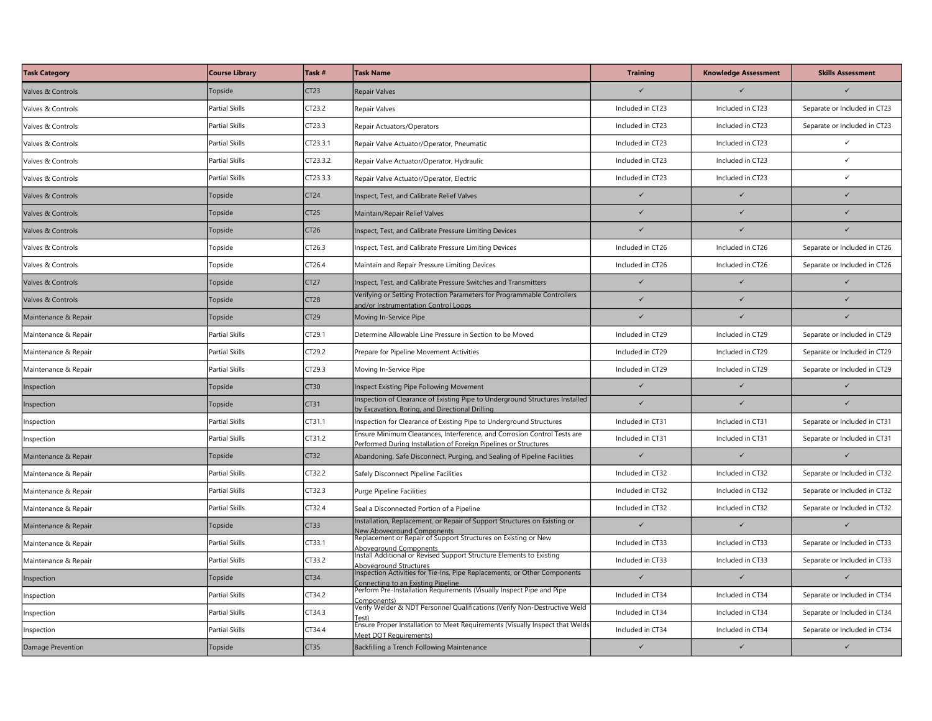| <b>Task Category</b> | <b>Course Library</b> | Task #           | <b>Task Name</b>                                                                                                                                                          | <b>Training</b>  | <b>Knowledge Assessment</b> | <b>Skills Assessment</b>     |
|----------------------|-----------------------|------------------|---------------------------------------------------------------------------------------------------------------------------------------------------------------------------|------------------|-----------------------------|------------------------------|
| Valves & Controls    | Topside               | CT23             | Repair Valves                                                                                                                                                             |                  |                             |                              |
| Valves & Controls    | <b>Partial Skills</b> | CT23.2           | Repair Valves                                                                                                                                                             | Included in CT23 | Included in CT23            | Separate or Included in CT23 |
| Valves & Controls    | <b>Partial Skills</b> | CT23.3           | Repair Actuators/Operators                                                                                                                                                | Included in CT23 | Included in CT23            | Separate or Included in CT23 |
| Valves & Controls    | Partial Skills        | CT23.3.1         | Repair Valve Actuator/Operator, Pneumatic                                                                                                                                 | Included in CT23 | Included in CT23            | $\checkmark$                 |
| Valves & Controls    | <b>Partial Skills</b> | CT23.3.2         | Repair Valve Actuator/Operator, Hydraulic                                                                                                                                 | Included in CT23 | Included in CT23            | $\checkmark$                 |
| Valves & Controls    | <b>Partial Skills</b> | CT23.3.3         | Repair Valve Actuator/Operator, Electric                                                                                                                                  | Included in CT23 | Included in CT23            | $\checkmark$                 |
| Valves & Controls    | Topside               | CT <sub>24</sub> | nspect, Test, and Calibrate Relief Valves                                                                                                                                 | $\checkmark$     | $\checkmark$                | $\checkmark$                 |
| Valves & Controls    | Topside               | CT25             | Maintain/Repair Relief Valves                                                                                                                                             | $\checkmark$     | $\checkmark$                | $\checkmark$                 |
| Valves & Controls    | Topside               | CT26             | nspect, Test, and Calibrate Pressure Limiting Devices                                                                                                                     |                  | $\overline{\mathscr{L}}$    |                              |
| Valves & Controls    | Topside               | CT26.3           | nspect, Test, and Calibrate Pressure Limiting Devices                                                                                                                     | Included in CT26 | Included in CT26            | Separate or Included in CT26 |
| Valves & Controls    | Topside               | CT26.4           | Maintain and Repair Pressure Limiting Devices                                                                                                                             | Included in CT26 | Included in CT26            | Separate or Included in CT26 |
| Valves & Controls    | Topside               | CT27             | Inspect, Test, and Calibrate Pressure Switches and Transmitters                                                                                                           | $\checkmark$     | $\checkmark$                | $\checkmark$                 |
| Valves & Controls    | Topside               | <b>CT28</b>      | Verifying or Setting Protection Parameters for Programmable Controllers<br>and/or Instrumentation Control Loops                                                           | $\checkmark$     | $\checkmark$                | $\checkmark$                 |
| Maintenance & Repair | Topside               | CT <sub>29</sub> | Moving In-Service Pipe                                                                                                                                                    |                  | $\checkmark$                |                              |
| Maintenance & Repair | <b>Partial Skills</b> | CT29.1           | Determine Allowable Line Pressure in Section to be Moved                                                                                                                  | Included in CT29 | Included in CT29            | Separate or Included in CT29 |
| Maintenance & Repair | <b>Partial Skills</b> | CT29.2           | Prepare for Pipeline Movement Activities                                                                                                                                  | Included in CT29 | Included in CT29            | Separate or Included in CT29 |
| Maintenance & Repair | Partial Skills        | CT29.3           | Moving In-Service Pipe                                                                                                                                                    | Included in CT29 | Included in CT29            | Separate or Included in CT29 |
| Inspection           | Topside               | CT30             | nspect Existing Pipe Following Movement                                                                                                                                   | $\checkmark$     | $\checkmark$                | $\checkmark$                 |
| Inspection           | Topside               | CT31             | Inspection of Clearance of Existing Pipe to Underground Structures Installed<br>by Excavation, Boring, and Directional Drilling                                           | $\checkmark$     | $\checkmark$                | $\checkmark$                 |
| Inspection           | Partial Skills        | CT31.1           | Inspection for Clearance of Existing Pipe to Underground Structures                                                                                                       | Included in CT31 | Included in CT31            | Separate or Included in CT31 |
| Inspection           | Partial Skills        | CT31.2           | Ensure Minimum Clearances, Interference, and Corrosion Control Tests are<br>Performed During Installation of Foreign Pipelines or Structures                              | Included in CT31 | Included in CT31            | Separate or Included in CT31 |
| Maintenance & Repair | Topside               | CT32             | Abandoning, Safe Disconnect, Purging, and Sealing of Pipeline Facilities                                                                                                  | $\checkmark$     | $\checkmark$                | $\checkmark$                 |
| Maintenance & Repair | Partial Skills        | CT32.2           | Safely Disconnect Pipeline Facilities                                                                                                                                     | Included in CT32 | Included in CT32            | Separate or Included in CT32 |
| Maintenance & Repair | <b>Partial Skills</b> | CT32.3           | Purge Pipeline Facilities                                                                                                                                                 | Included in CT32 | Included in CT32            | Separate or Included in CT32 |
| Maintenance & Repair | <b>Partial Skills</b> | CT32.4           | Seal a Disconnected Portion of a Pipeline                                                                                                                                 | Included in CT32 | Included in CT32            | Separate or Included in CT32 |
| Maintenance & Repair | Topside               | CT33             | Installation, Replacement, or Repair of Support Structures on Existing or<br><b>New Aboveground Components</b>                                                            | $\checkmark$     | $\checkmark$                | $\checkmark$                 |
| Maintenance & Repair | Partial Skills        | CT33.1           | Replacement or Repair of Support Structures on Existing or New<br><u>Aboveground Components<br/>Install Additional or Revised Support Structure Elements to Existing </u> | Included in CT33 | Included in CT33            | Separate or Included in CT33 |
| Maintenance & Repair | <b>Partial Skills</b> | CT33.2           | Abovearound Structures                                                                                                                                                    | Included in CT33 | Included in CT33            | Separate or Included in CT33 |
| Inspection           | Topside               | CT34             | Inspection Activities for Tie-Ins, Pipe Replacements, or Other Components<br>Connecting to an Existing Pipeline                                                           | $\checkmark$     | $\checkmark$                | $\checkmark$                 |
| Inspection           | <b>Partial Skills</b> | CT34.2           | Perform Pre-Installation Requirements (Visually Inspect Pipe and Pipe<br>Components)                                                                                      | Included in CT34 | Included in CT34            | Separate or Included in CT34 |
| Inspection           | Partial Skills        | CT34.3           | Verify Welder & NDT Personnel Qualifications (Verify Non-Destructive Weld<br>(fest                                                                                        | Included in CT34 | Included in CT34            | Separate or Included in CT34 |
| Inspection           | Partial Skills        | CT34.4           | Ensure Proper Installation to Meet Requirements (Visually Inspect that Welds<br>Meet DOT Requirements)                                                                    | Included in CT34 | Included in CT34            | Separate or Included in CT34 |
| Damage Prevention    | Topside               | CT35             | Backfilling a Trench Following Maintenance                                                                                                                                | $\checkmark$     | $\checkmark$                | $\checkmark$                 |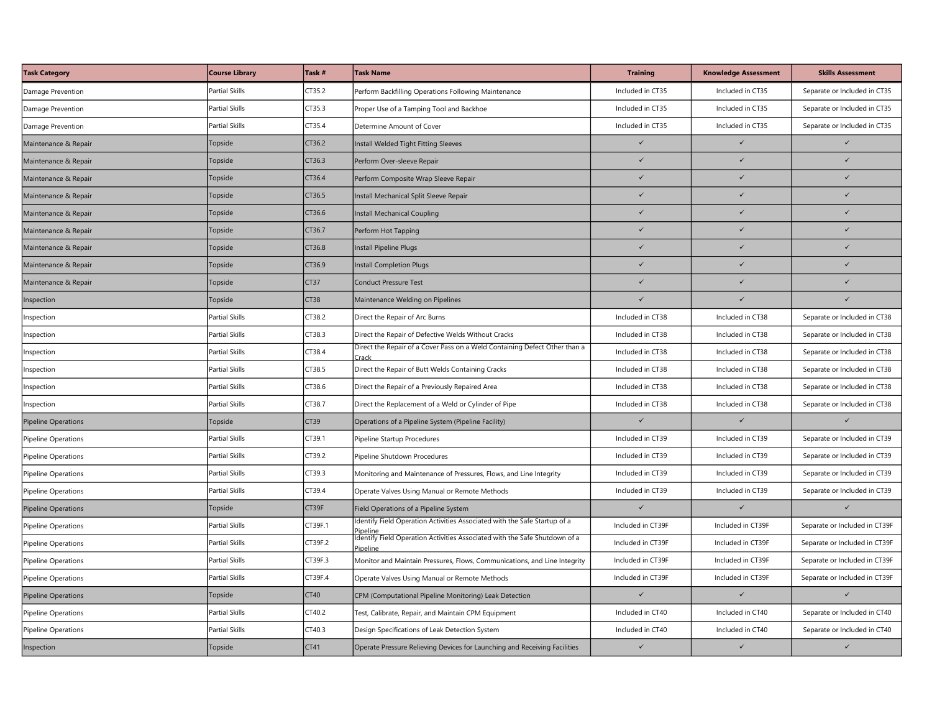| <b>Task Category</b>       | <b>Course Library</b> | Task #           | <b>Task Name</b>                                                                       | <b>Training</b>   | <b>Knowledge Assessment</b> | <b>Skills Assessment</b>      |
|----------------------------|-----------------------|------------------|----------------------------------------------------------------------------------------|-------------------|-----------------------------|-------------------------------|
| Damage Prevention          | Partial Skills        | CT35.2           | Perform Backfilling Operations Following Maintenance                                   | Included in CT35  | Included in CT35            | Separate or Included in CT35  |
| Damage Prevention          | <b>Partial Skills</b> | CT35.3           | Proper Use of a Tamping Tool and Backhoe                                               | Included in CT35  | Included in CT35            | Separate or Included in CT35  |
| Damage Prevention          | <b>Partial Skills</b> | CT35.4           | Determine Amount of Cover                                                              | Included in CT35  | Included in CT35            | Separate or Included in CT35  |
| Maintenance & Repair       | Topside               | CT36.2           | Install Welded Tight Fitting Sleeves                                                   | $\checkmark$      | $\checkmark$                | $\checkmark$                  |
| Maintenance & Repair       | Topside               | CT36.3           | Perform Over-sleeve Repair                                                             | $\checkmark$      | $\checkmark$                | $\checkmark$                  |
| Maintenance & Repair       | Topside               | CT36.4           | Perform Composite Wrap Sleeve Repair                                                   | $\checkmark$      | $\checkmark$                | $\checkmark$                  |
| Maintenance & Repair       | Topside               | CT36.5           | Install Mechanical Split Sleeve Repair                                                 | $\checkmark$      | $\checkmark$                | $\checkmark$                  |
| Maintenance & Repair       | Topside               | CT36.6           | Install Mechanical Coupling                                                            | $\checkmark$      | $\checkmark$                | $\checkmark$                  |
| Maintenance & Repair       | Topside               | CT36.7           | Perform Hot Tapping                                                                    | $\checkmark$      | $\checkmark$                |                               |
| Maintenance & Repair       | Topside               | CT36.8           | Install Pipeline Plugs                                                                 | $\checkmark$      | $\checkmark$                | $\checkmark$                  |
| Maintenance & Repair       | Topside               | CT36.9           | nstall Completion Plugs                                                                | $\checkmark$      | $\checkmark$                | $\checkmark$                  |
| Maintenance & Repair       | Topside               | CT <sub>37</sub> | Conduct Pressure Test                                                                  | $\checkmark$      | $\checkmark$                | $\checkmark$                  |
| Inspection                 | Topside               | CT38             | Maintenance Welding on Pipelines                                                       | $\checkmark$      | $\checkmark$                | $\checkmark$                  |
| Inspection                 | <b>Partial Skills</b> | CT38.2           | Direct the Repair of Arc Burns                                                         | Included in CT38  | Included in CT38            | Separate or Included in CT38  |
| <b>Inspection</b>          | Partial Skills        | CT38.3           | Direct the Repair of Defective Welds Without Cracks                                    | Included in CT38  | Included in CT38            | Separate or Included in CT38  |
| Inspection                 | <b>Partial Skills</b> | CT38.4           | Direct the Repair of a Cover Pass on a Weld Containing Defect Other than a<br>Irack    | Included in CT38  | Included in CT38            | Separate or Included in CT38  |
| Inspection                 | <b>Partial Skills</b> | CT38.5           | Direct the Repair of Butt Welds Containing Cracks                                      | Included in CT38  | Included in CT38            | Separate or Included in CT38  |
| Inspection                 | <b>Partial Skills</b> | CT38.6           | Direct the Repair of a Previously Repaired Area                                        | Included in CT38  | Included in CT38            | Separate or Included in CT38  |
| Inspection                 | <b>Partial Skills</b> | CT38.7           | Direct the Replacement of a Weld or Cylinder of Pipe                                   | Included in CT38  | Included in CT38            | Separate or Included in CT38  |
| Pipeline Operations        | Topside               | CT39             | Operations of a Pipeline System (Pipeline Facility)                                    | $\checkmark$      | $\checkmark$                | $\checkmark$                  |
| Pipeline Operations        | Partial Skills        | CT39.1           | Pipeline Startup Procedures                                                            | Included in CT39  | Included in CT39            | Separate or Included in CT39  |
| Pipeline Operations        | <b>Partial Skills</b> | CT39.2           | Pipeline Shutdown Procedures                                                           | Included in CT39  | Included in CT39            | Separate or Included in CT39  |
| Pipeline Operations        | <b>Partial Skills</b> | CT39.3           | Monitoring and Maintenance of Pressures, Flows, and Line Integrity                     | Included in CT39  | Included in CT39            | Separate or Included in CT39  |
| Pipeline Operations        | <b>Partial Skills</b> | CT39.4           | Operate Valves Using Manual or Remote Methods                                          | Included in CT39  | Included in CT39            | Separate or Included in CT39  |
| <b>Pipeline Operations</b> | Topside               | CT39F            | Field Operations of a Pipeline System                                                  | $\checkmark$      | $\checkmark$                | $\checkmark$                  |
| Pipeline Operations        | <b>Partial Skills</b> | CT39F.1          | Identify Field Operation Activities Associated with the Safe Startup of a<br>'ineline  | Included in CT39F | Included in CT39F           | Separate or Included in CT39F |
| <b>Pipeline Operations</b> | <b>Partial Skills</b> | CT39F.2          | Identify Field Operation Activities Associated with the Safe Shutdown of a<br>Pipeline | Included in CT39F | Included in CT39F           | Separate or Included in CT39F |
| Pipeline Operations        | Partial Skills        | CT39F.3          | Monitor and Maintain Pressures, Flows, Communications, and Line Integrity              | Included in CT39F | Included in CT39F           | Separate or Included in CT39F |
| Pipeline Operations        | <b>Partial Skills</b> | CT39F.4          | Operate Valves Using Manual or Remote Methods                                          | Included in CT39F | Included in CT39F           | Separate or Included in CT39F |
| <b>Pipeline Operations</b> | Topside               | CT40             | CPM (Computational Pipeline Monitoring) Leak Detection                                 | $\checkmark$      | $\checkmark$                | $\checkmark$                  |
| Pipeline Operations        | Partial Skills        | CT40.2           | Fest, Calibrate, Repair, and Maintain CPM Equipment                                    | Included in CT40  | Included in CT40            | Separate or Included in CT40  |
| Pipeline Operations        | <b>Partial Skills</b> | CT40.3           | Design Specifications of Leak Detection System                                         | Included in CT40  | Included in CT40            | Separate or Included in CT40  |
| Inspection                 | Topside               | CT41             | Operate Pressure Relieving Devices for Launching and Receiving Facilities              | $\checkmark$      | $\checkmark$                | $\checkmark$                  |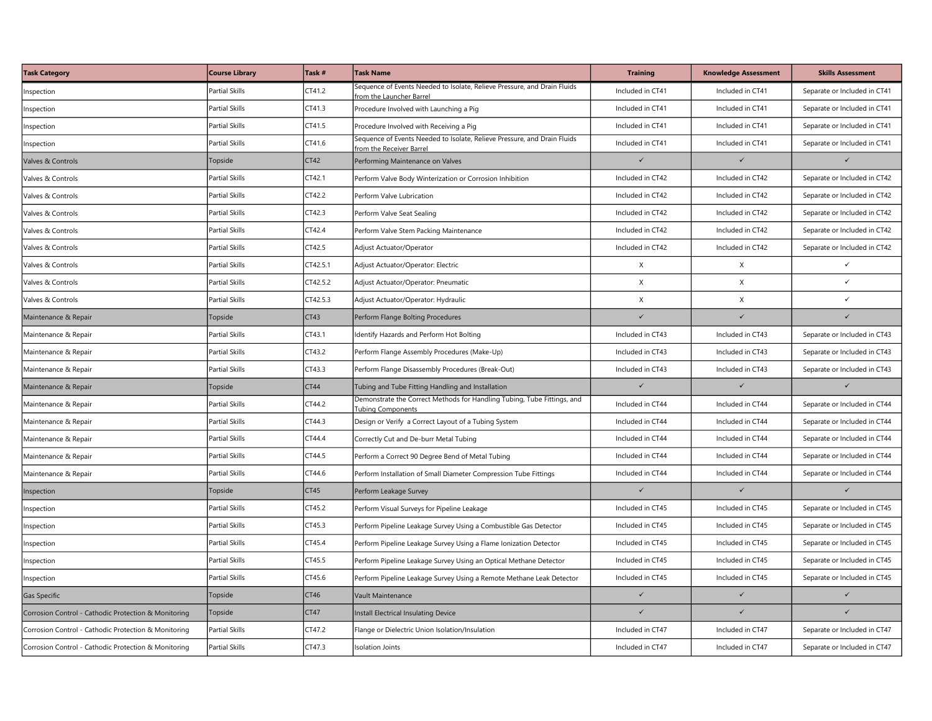| <b>Task Category</b>                                 | <b>Course Library</b> | Task #   | <b>Task Name</b>                                                                                     | <b>Training</b>  | <b>Knowledge Assessment</b> | <b>Skills Assessment</b>     |
|------------------------------------------------------|-----------------------|----------|------------------------------------------------------------------------------------------------------|------------------|-----------------------------|------------------------------|
| Inspection                                           | Partial Skills        | CT41.2   | Sequence of Events Needed to Isolate, Relieve Pressure, and Drain Fluids<br>rom the Launcher Barrel  | Included in CT41 | Included in CT41            | Separate or Included in CT41 |
| Inspection                                           | <b>Partial Skills</b> | CT41.3   | Procedure Involved with Launching a Pig                                                              | Included in CT41 | Included in CT41            | Separate or Included in CT41 |
| Inspection                                           | <b>Partial Skills</b> | CT41.5   | Procedure Involved with Receiving a Pig                                                              | Included in CT41 | Included in CT41            | Separate or Included in CT41 |
| Inspection                                           | Partial Skills        | CT41.6   | Sequence of Events Needed to Isolate, Relieve Pressure, and Drain Fluids<br>from the Receiver Barrel | Included in CT41 | Included in CT41            | Separate or Included in CT41 |
| Valves & Controls                                    | Topside               | CT42     | Performing Maintenance on Valves                                                                     | $\checkmark$     | $\checkmark$                | $\checkmark$                 |
| Valves & Controls                                    | Partial Skills        | CT42.1   | Perform Valve Body Winterization or Corrosion Inhibition                                             | Included in CT42 | Included in CT42            | Separate or Included in CT42 |
| Valves & Controls                                    | Partial Skills        | CT42.2   | Perform Valve Lubrication                                                                            | Included in CT42 | Included in CT42            | Separate or Included in CT42 |
| Valves & Controls                                    | Partial Skills        | CT42.3   | Perform Valve Seat Sealing                                                                           | Included in CT42 | Included in CT42            | Separate or Included in CT42 |
| Valves & Controls                                    | <b>Partial Skills</b> | CT42.4   | Perform Valve Stem Packing Maintenance                                                               | Included in CT42 | Included in CT42            | Separate or Included in CT42 |
| Valves & Controls                                    | <b>Partial Skills</b> | CT42.5   | Adjust Actuator/Operator                                                                             | Included in CT42 | Included in CT42            | Separate or Included in CT42 |
| Valves & Controls                                    | <b>Partial Skills</b> | CT42.5.1 | Adjust Actuator/Operator: Electric                                                                   | X                | X                           | $\checkmark$                 |
| Valves & Controls                                    | <b>Partial Skills</b> | CT42.5.2 | Adjust Actuator/Operator: Pneumatic                                                                  | $\mathsf X$      | X                           | $\checkmark$                 |
| Valves & Controls                                    | <b>Partial Skills</b> | CT42.5.3 | Adjust Actuator/Operator: Hydraulic                                                                  | X                | X                           | $\checkmark$                 |
| Maintenance & Repair                                 | Topside               | CT43     | Perform Flange Bolting Procedures                                                                    | $\checkmark$     | $\checkmark$                | $\checkmark$                 |
| Maintenance & Repair                                 | Partial Skills        | CT43.1   | dentify Hazards and Perform Hot Bolting                                                              | Included in CT43 | Included in CT43            | Separate or Included in CT43 |
| Maintenance & Repair                                 | <b>Partial Skills</b> | CT43.2   | Perform Flange Assembly Procedures (Make-Up)                                                         | Included in CT43 | Included in CT43            | Separate or Included in CT43 |
| Maintenance & Repair                                 | Partial Skills        | CT43.3   | Perform Flange Disassembly Procedures (Break-Out)                                                    | Included in CT43 | Included in CT43            | Separate or Included in CT43 |
| Maintenance & Repair                                 | Topside               | CT44     | Tubing and Tube Fitting Handling and Installation                                                    | $\checkmark$     | $\checkmark$                | $\checkmark$                 |
| Maintenance & Repair                                 | <b>Partial Skills</b> | CT44.2   | Demonstrate the Correct Methods for Handling Tubing, Tube Fittings, and<br><b>Fubing Components</b>  | Included in CT44 | Included in CT44            | Separate or Included in CT44 |
| Maintenance & Repair                                 | Partial Skills        | CT44.3   | Design or Verify a Correct Layout of a Tubing System                                                 | Included in CT44 | Included in CT44            | Separate or Included in CT44 |
| Maintenance & Repair                                 | Partial Skills        | CT44.4   | Correctly Cut and De-burr Metal Tubing                                                               | Included in CT44 | Included in CT44            | Separate or Included in CT44 |
| Maintenance & Repair                                 | <b>Partial Skills</b> | CT44.5   | Perform a Correct 90 Degree Bend of Metal Tubing                                                     | Included in CT44 | Included in CT44            | Separate or Included in CT44 |
| Maintenance & Repair                                 | Partial Skills        | CT44.6   | Perform Installation of Small Diameter Compression Tube Fittings                                     | Included in CT44 | Included in CT44            | Separate or Included in CT44 |
| Inspection                                           | Topside               | CT45     | Perform Leakage Survey                                                                               | $\checkmark$     | $\checkmark$                | $\checkmark$                 |
| Inspection                                           | <b>Partial Skills</b> | CT45.2   | Perform Visual Surveys for Pipeline Leakage                                                          | Included in CT45 | Included in CT45            | Separate or Included in CT45 |
| nspection                                            | Partial Skills        | CT45.3   | Perform Pipeline Leakage Survey Using a Combustible Gas Detector                                     | Included in CT45 | Included in CT45            | Separate or Included in CT45 |
| nspection                                            | Partial Skills        | CT45.4   | Perform Pipeline Leakage Survey Using a Flame Ionization Detector                                    | Included in CT45 | Included in CT45            | Separate or Included in CT45 |
| Inspection                                           | <b>Partial Skills</b> | CT45.5   | Perform Pipeline Leakage Survey Using an Optical Methane Detector                                    | Included in CT45 | Included in CT45            | Separate or Included in CT45 |
| Inspection                                           | Partial Skills        | CT45.6   | Perform Pipeline Leakage Survey Using a Remote Methane Leak Detector                                 | Included in CT45 | Included in CT45            | Separate or Included in CT45 |
| Gas Specific                                         | Topside               | CT46     | Vault Maintenance                                                                                    | $\checkmark$     | $\checkmark$                |                              |
| Corrosion Control - Cathodic Protection & Monitoring | Topside               | CT47     | nstall Electrical Insulating Device                                                                  | $\checkmark$     | $\checkmark$                | $\checkmark$                 |
| Corrosion Control - Cathodic Protection & Monitoring | <b>Partial Skills</b> | CT47.2   | Flange or Dielectric Union Isolation/Insulation                                                      | Included in CT47 | Included in CT47            | Separate or Included in CT47 |
| Corrosion Control - Cathodic Protection & Monitoring | Partial Skills        | CT47.3   | <b>Isolation Joints</b>                                                                              | Included in CT47 | Included in CT47            | Separate or Included in CT47 |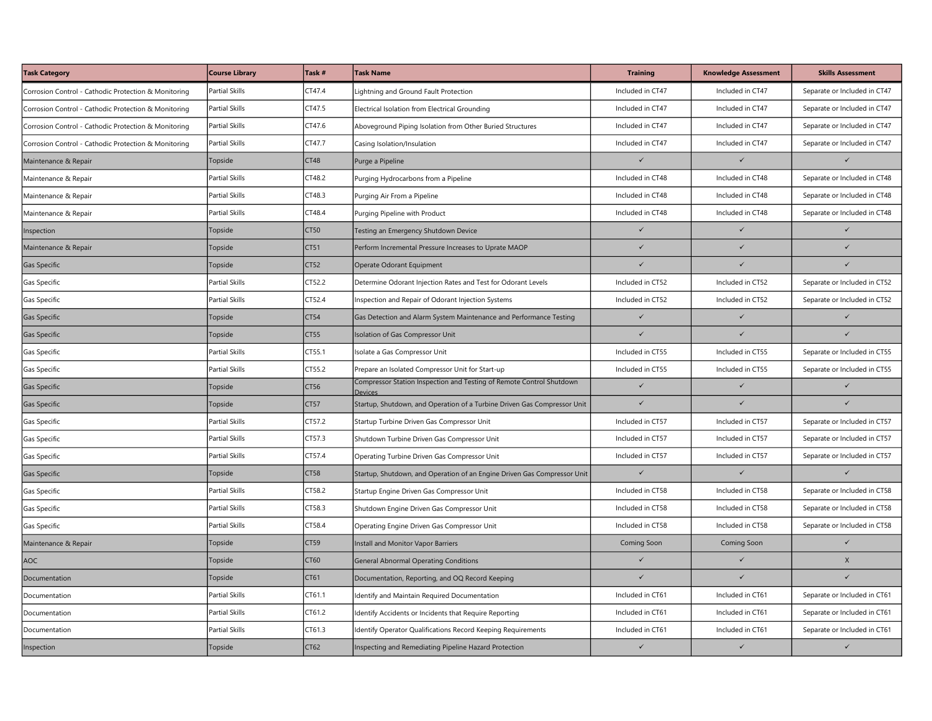| <b>Task Category</b>                                 | <b>Course Library</b> | Task #      | <b>Task Name</b>                                                                | <b>Training</b>  | <b>Knowledge Assessment</b> | <b>Skills Assessment</b>     |
|------------------------------------------------------|-----------------------|-------------|---------------------------------------------------------------------------------|------------------|-----------------------------|------------------------------|
| Corrosion Control - Cathodic Protection & Monitoring | <b>Partial Skills</b> | CT47.4      | Lightning and Ground Fault Protection                                           | Included in CT47 | Included in CT47            | Separate or Included in CT47 |
| Corrosion Control - Cathodic Protection & Monitoring | <b>Partial Skills</b> | CT47.5      | Electrical Isolation from Electrical Grounding                                  | Included in CT47 | Included in CT47            | Separate or Included in CT47 |
| Corrosion Control - Cathodic Protection & Monitoring | <b>Partial Skills</b> | CT47.6      | Aboveground Piping Isolation from Other Buried Structures                       | Included in CT47 | Included in CT47            | Separate or Included in CT47 |
| Corrosion Control - Cathodic Protection & Monitoring | Partial Skills        | CT47.7      | Casing Isolation/Insulation                                                     | Included in CT47 | Included in CT47            | Separate or Included in CT47 |
| Maintenance & Repair                                 | Topside               | CT48        | Purge a Pipeline                                                                | $\checkmark$     | $\checkmark$                | $\checkmark$                 |
| Maintenance & Repair                                 | <b>Partial Skills</b> | CT48.2      | Purging Hydrocarbons from a Pipeline                                            | Included in CT48 | Included in CT48            | Separate or Included in CT48 |
| Maintenance & Repair                                 | Partial Skills        | CT48.3      | Purging Air From a Pipeline                                                     | Included in CT48 | Included in CT48            | Separate or Included in CT48 |
| Maintenance & Repair                                 | <b>Partial Skills</b> | CT48.4      | Purging Pipeline with Product                                                   | Included in CT48 | Included in CT48            | Separate or Included in CT48 |
| Inspection                                           | Topside               | CT50        | Testing an Emergency Shutdown Device                                            | $\checkmark$     | $\checkmark$                | $\checkmark$                 |
| Maintenance & Repair                                 | Topside               | CT51        | Perform Incremental Pressure Increases to Uprate MAOP                           | $\checkmark$     | $\checkmark$                | $\checkmark$                 |
| Gas Specific                                         | Topside               | CT52        | Operate Odorant Equipment                                                       | $\checkmark$     | $\checkmark$                | $\checkmark$                 |
| Gas Specific                                         | <b>Partial Skills</b> | CT52.2      | Determine Odorant Injection Rates and Test for Odorant Levels                   | Included in CT52 | Included in CT52            | Separate or Included in CT52 |
| Gas Specific                                         | <b>Partial Skills</b> | CT52.4      | Inspection and Repair of Odorant Injection Systems                              | Included in CT52 | Included in CT52            | Separate or Included in CT52 |
| Gas Specific                                         | Topside               | CT54        | Gas Detection and Alarm System Maintenance and Performance Testing              | $\checkmark$     | $\checkmark$                | $\checkmark$                 |
| Gas Specific                                         | Topside               | CT55        | solation of Gas Compressor Unit                                                 | $\checkmark$     | $\checkmark$                | $\checkmark$                 |
| Gas Specific                                         | Partial Skills        | CT55.1      | Isolate a Gas Compressor Unit                                                   | Included in CT55 | Included in CT55            | Separate or Included in CT55 |
| Gas Specific                                         | <b>Partial Skills</b> | CT55.2      | Prepare an Isolated Compressor Unit for Start-up                                | Included in CT55 | Included in CT55            | Separate or Included in CT55 |
| Gas Specific                                         | Topside               | CT56        | Compressor Station Inspection and Testing of Remote Control Shutdown<br>Devices | $\checkmark$     | $\checkmark$                | $\checkmark$                 |
| Gas Specific                                         | Topside               | CT57        | Startup, Shutdown, and Operation of a Turbine Driven Gas Compressor Unit        | $\overline{1}$   | $\overline{1}$              |                              |
| Gas Specific                                         | <b>Partial Skills</b> | CT57.2      | Startup Turbine Driven Gas Compressor Unit                                      | Included in CT57 | Included in CT57            | Separate or Included in CT57 |
| Gas Specific                                         | Partial Skills        | CT57.3      | Shutdown Turbine Driven Gas Compressor Unit                                     | Included in CT57 | Included in CT57            | Separate or Included in CT57 |
| Gas Specific                                         | Partial Skills        | CT57.4      | Operating Turbine Driven Gas Compressor Unit                                    | Included in CT57 | Included in CT57            | Separate or Included in CT57 |
| Gas Specific                                         | Topside               | <b>CT58</b> | Startup, Shutdown, and Operation of an Engine Driven Gas Compressor Unit        | $\checkmark$     | $\checkmark$                | $\checkmark$                 |
| Gas Specific                                         | <b>Partial Skills</b> | CT58.2      | Startup Engine Driven Gas Compressor Unit                                       | Included in CT58 | Included in CT58            | Separate or Included in CT58 |
| Gas Specific                                         | Partial Skills        | CT58.3      | Shutdown Engine Driven Gas Compressor Unit                                      | Included in CT58 | Included in CT58            | Separate or Included in CT58 |
| Gas Specific                                         | Partial Skills        | CT58.4      | Operating Engine Driven Gas Compressor Unit                                     | Included in CT58 | Included in CT58            | Separate or Included in CT58 |
| Maintenance & Repair                                 | Topside               | CT59        | nstall and Monitor Vapor Barriers                                               | Coming Soon      | Coming Soon                 | $\checkmark$                 |
| AOC                                                  | Topside               | CT60        | <b>General Abnormal Operating Conditions</b>                                    | $\checkmark$     | $\checkmark$                | X                            |
| Documentation                                        | Topside               | CT61        | Documentation, Reporting, and OQ Record Keeping                                 | $\checkmark$     | $\checkmark$                | $\checkmark$                 |
| Documentation                                        | <b>Partial Skills</b> | CT61.1      | dentify and Maintain Required Documentation                                     | Included in CT61 | Included in CT61            | Separate or Included in CT61 |
| Documentation                                        | <b>Partial Skills</b> | CT61.2      | dentify Accidents or Incidents that Require Reporting                           | Included in CT61 | Included in CT61            | Separate or Included in CT61 |
| Documentation                                        | <b>Partial Skills</b> | CT61.3      | Identify Operator Qualifications Record Keeping Requirements                    | Included in CT61 | Included in CT61            | Separate or Included in CT61 |
| Inspection                                           | Topside               | CT62        | Inspecting and Remediating Pipeline Hazard Protection                           | $\checkmark$     | $\checkmark$                | $\checkmark$                 |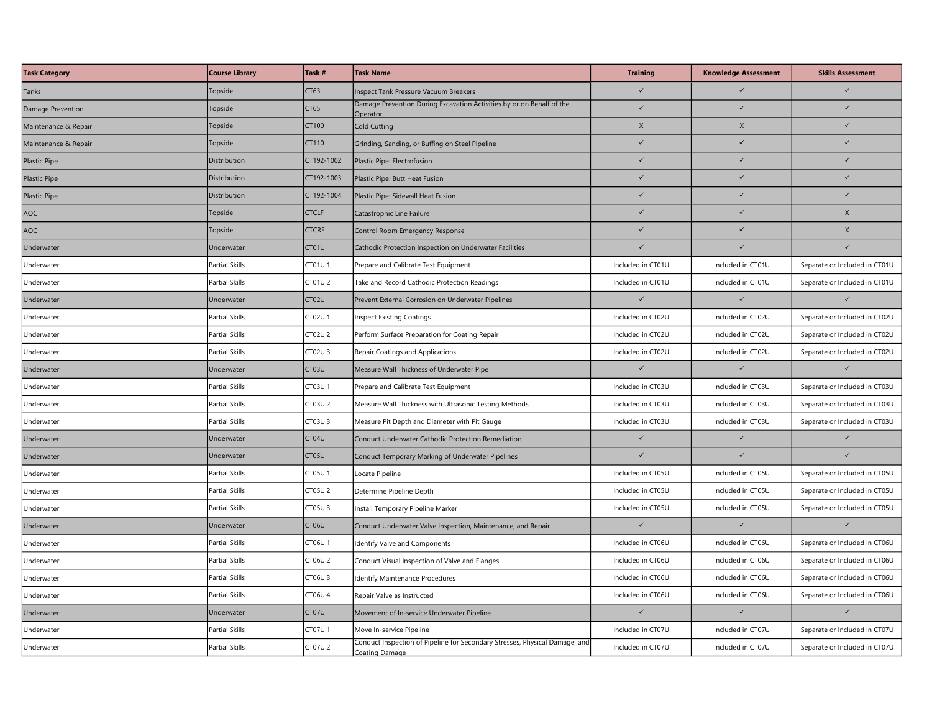| <b>Task Category</b> | <b>Course Library</b> | Task #       | <b>Task Name</b>                                                                              | <b>Training</b>   | <b>Knowledge Assessment</b> | <b>Skills Assessment</b>      |
|----------------------|-----------------------|--------------|-----------------------------------------------------------------------------------------------|-------------------|-----------------------------|-------------------------------|
| Tanks                | Topside               | CT63         | nspect Tank Pressure Vacuum Breakers                                                          |                   |                             |                               |
| Damage Prevention    | Topside               | CT65         | Damage Prevention During Excavation Activities by or on Behalf of the<br><b>Operator</b>      |                   | $\checkmark$                |                               |
| Maintenance & Repair | Topside               | CT100        | Cold Cutting                                                                                  | X                 | $\mathsf X$                 | $\checkmark$                  |
| Maintenance & Repair | Topside               | CT110        | Grinding, Sanding, or Buffing on Steel Pipeline                                               | $\checkmark$      | $\checkmark$                | $\checkmark$                  |
| <b>Plastic Pipe</b>  | Distribution          | CT192-1002   | Plastic Pipe: Electrofusion                                                                   | $\checkmark$      | $\checkmark$                | $\checkmark$                  |
| Plastic Pipe         | Distribution          | CT192-1003   | Plastic Pipe: Butt Heat Fusion                                                                | $\checkmark$      | $\checkmark$                | $\checkmark$                  |
| Plastic Pipe         | Distribution          | CT192-1004   | Plastic Pipe: Sidewall Heat Fusion                                                            | $\checkmark$      | $\checkmark$                | $\checkmark$                  |
| AOC                  | Topside               | <b>CTCLF</b> | Catastrophic Line Failure                                                                     | $\checkmark$      | $\checkmark$                | X                             |
| AOC                  | Topside               | <b>CTCRE</b> | Control Room Emergency Response                                                               | $\checkmark$      | $\checkmark$                | X                             |
| Underwater           | Underwater            | CT01U        | Cathodic Protection Inspection on Underwater Facilities                                       | $\checkmark$      | $\checkmark$                |                               |
| Underwater           | Partial Skills        | CT01U.1      | Prepare and Calibrate Test Equipment                                                          | Included in CT01U | Included in CT01U           | Separate or Included in CT01U |
| Underwater           | <b>Partial Skills</b> | CT01U.2      | Take and Record Cathodic Protection Readings                                                  | Included in CT01U | Included in CT01U           | Separate or Included in CT01U |
| Underwater           | Underwater            | CT02U        | Prevent External Corrosion on Underwater Pipelines                                            | $\checkmark$      | $\checkmark$                | $\checkmark$                  |
| Underwater           | Partial Skills        | CT02U.1      | <b>Inspect Existing Coatings</b>                                                              | Included in CT02U | Included in CT02U           | Separate or Included in CT02U |
| Underwater           | Partial Skills        | CT02U.2      | Perform Surface Preparation for Coating Repair                                                | Included in CT02U | Included in CT02U           | Separate or Included in CT02U |
| Underwater           | Partial Skills        | CT02U.3      | Repair Coatings and Applications                                                              | Included in CT02U | Included in CT02U           | Separate or Included in CT02U |
| Underwater           | Underwater            | CT03U        | Measure Wall Thickness of Underwater Pipe                                                     | $\checkmark$      | $\checkmark$                | $\checkmark$                  |
| Underwater           | <b>Partial Skills</b> | CT03U.1      | Prepare and Calibrate Test Equipment                                                          | Included in CT03U | Included in CT03U           | Separate or Included in CT03U |
| Underwater           | <b>Partial Skills</b> | CT03U.2      | Measure Wall Thickness with Ultrasonic Testing Methods                                        | Included in CT03U | Included in CT03U           | Separate or Included in CT03U |
| Underwater           | Partial Skills        | CT03U.3      | Measure Pit Depth and Diameter with Pit Gauge                                                 | Included in CT03U | Included in CT03U           | Separate or Included in CT03U |
| Underwater           | Underwater            | CT04U        | Conduct Underwater Cathodic Protection Remediation                                            | $\checkmark$      | $\checkmark$                | $\checkmark$                  |
| Underwater           | Underwater            | CT05U        | Conduct Temporary Marking of Underwater Pipelines                                             | $\checkmark$      | $\checkmark$                | $\checkmark$                  |
| Underwater           | <b>Partial Skills</b> | CT05U.1      | Locate Pipeline                                                                               | Included in CT05U | Included in CT05U           | Separate or Included in CT05U |
| Underwater           | Partial Skills        | CT05U.2      | Determine Pipeline Depth                                                                      | Included in CT05U | Included in CT05U           | Separate or Included in CT05U |
| Underwater           | <b>Partial Skills</b> | CT05U.3      | nstall Temporary Pipeline Marker                                                              | Included in CT05U | Included in CT05U           | Separate or Included in CT05U |
| Underwater           | Underwater            | CT06U        | Conduct Underwater Valve Inspection, Maintenance, and Repair                                  | $\checkmark$      | $\checkmark$                | $\checkmark$                  |
| Underwater           | <b>Partial Skills</b> | CT06U.1      | Identify Valve and Components                                                                 | Included in CT06U | Included in CT06U           | Separate or Included in CT06U |
| Underwater           | <b>Partial Skills</b> | CT06U.2      | Conduct Visual Inspection of Valve and Flanges                                                | Included in CT06U | Included in CT06U           | Separate or Included in CT06U |
| Underwater           | Partial Skills        | CT06U.3      | dentify Maintenance Procedures                                                                | Included in CT06U | Included in CT06U           | Separate or Included in CT06U |
| Underwater           | <b>Partial Skills</b> | CT06U.4      | Repair Valve as Instructed                                                                    | Included in CT06U | Included in CT06U           | Separate or Included in CT06U |
| Underwater           | Underwater            | CT07U        | Movement of In-service Underwater Pipeline                                                    | $\checkmark$      | $\checkmark$                | $\checkmark$                  |
| Underwater           | <b>Partial Skills</b> | CT07U.1      | Move In-service Pipeline                                                                      | Included in CT07U | Included in CT07U           | Separate or Included in CT07U |
| Underwater           | <b>Partial Skills</b> | CT07U.2      | Conduct Inspection of Pipeline for Secondary Stresses, Physical Damage, and<br>Coating Damage | Included in CT07U | Included in CT07U           | Separate or Included in CT07U |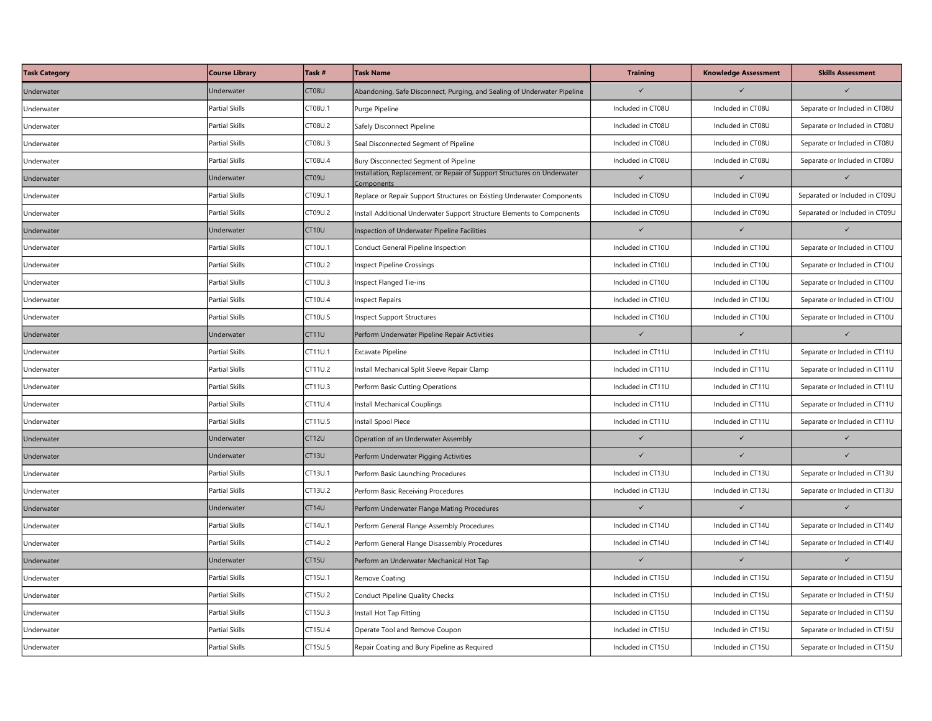| <b>Task Category</b> | <b>Course Library</b> | Task #            | <b>Task Name</b>                                                                      | <b>Training</b>   | <b>Knowledge Assessment</b> | <b>Skills Assessment</b>       |
|----------------------|-----------------------|-------------------|---------------------------------------------------------------------------------------|-------------------|-----------------------------|--------------------------------|
| Underwater           | Underwater            | CT08U             | Abandoning, Safe Disconnect, Purging, and Sealing of Underwater Pipeline              | $\checkmark$      |                             |                                |
| Underwater           | <b>Partial Skills</b> | CT08U.1           | Purge Pipeline                                                                        | Included in CT08U | Included in CT08U           | Separate or Included in CT08U  |
| Underwater           | <b>Partial Skills</b> | CT08U.2           | Safely Disconnect Pipeline                                                            | Included in CT08U | Included in CT08U           | Separate or Included in CT08U  |
| Underwater           | <b>Partial Skills</b> | CT08U.3           | Seal Disconnected Segment of Pipeline                                                 | Included in CT08U | Included in CT08U           | Separate or Included in CT08U  |
| Underwater           | Partial Skills        | CT08U.4           | Bury Disconnected Segment of Pipeline                                                 | Included in CT08U | Included in CT08U           | Separate or Included in CT08U  |
| Underwater           | Underwater            | CT09U             | Installation, Replacement, or Repair of Support Structures on Underwater<br>Component | $\checkmark$      | $\checkmark$                | $\checkmark$                   |
| Underwater           | <b>Partial Skills</b> | CT09U.1           | Replace or Repair Support Structures on Existing Underwater Components                | Included in CT09U | Included in CT09U           | Separated or Included in CT09U |
| Underwater           | <b>Partial Skills</b> | CT09U.2           | nstall Additional Underwater Support Structure Elements to Components                 | Included in CT09U | Included in CT09U           | Separated or Included in CT09U |
| Underwater           | Underwater            | CT10U             | nspection of Underwater Pipeline Facilities                                           | $\checkmark$      | $\checkmark$                |                                |
| Underwater           | <b>Partial Skills</b> | CT10U.1           | Conduct General Pipeline Inspection                                                   | Included in CT10U | Included in CT10U           | Separate or Included in CT10U  |
| Underwater           | Partial Skills        | CT10U.2           | nspect Pipeline Crossings                                                             | Included in CT10U | Included in CT10U           | Separate or Included in CT10U  |
| Underwater           | <b>Partial Skills</b> | CT10U.3           | nspect Flanged Tie-ins                                                                | Included in CT10U | Included in CT10U           | Separate or Included in CT10U  |
| Underwater           | Partial Skills        | CT10U.4           | nspect Repairs                                                                        | Included in CT10U | Included in CT10U           | Separate or Included in CT10U  |
| Underwater           | Partial Skills        | CT10U.5           | nspect Support Structures                                                             | Included in CT10U | Included in CT10U           | Separate or Included in CT10U  |
| Underwater           | Underwater            | CT11U             | Perform Underwater Pipeline Repair Activities                                         | $\checkmark$      | $\checkmark$                | $\checkmark$                   |
| Underwater           | Partial Skills        | CT11U.1           | Excavate Pipeline                                                                     | Included in CT11U | Included in CT11U           | Separate or Included in CT11U  |
| Underwater           | Partial Skills        | CT11U.2           | nstall Mechanical Split Sleeve Repair Clamp                                           | Included in CT11U | Included in CT11U           | Separate or Included in CT11U  |
| Underwater           | <b>Partial Skills</b> | CT11U.3           | Perform Basic Cutting Operations                                                      | Included in CT11U | Included in CT11U           | Separate or Included in CT11U  |
| Underwater           | <b>Partial Skills</b> | CT11U.4           | nstall Mechanical Couplings                                                           | Included in CT11U | Included in CT11U           | Separate or Included in CT11U  |
| Underwater           | Partial Skills        | CT11U.5           | nstall Spool Piece                                                                    | Included in CT11U | Included in CT11U           | Separate or Included in CT11U  |
| Underwater           | Underwater            | CT12U             | Operation of an Underwater Assembly                                                   | $\checkmark$      | $\checkmark$                | $\checkmark$                   |
| Underwater           | Underwater            | CT13U             | Perform Underwater Pigging Activities                                                 | $\checkmark$      | $\checkmark$                | $\checkmark$                   |
| Underwater           | <b>Partial Skills</b> | CT13U.1           | Perform Basic Launching Procedures                                                    | Included in CT13U | Included in CT13U           | Separate or Included in CT13U  |
| Underwater           | Partial Skills        | CT13U.2           | Perform Basic Receiving Procedures                                                    | Included in CT13U | Included in CT13U           | Separate or Included in CT13U  |
| Underwater           | Underwater            | CT14U             | Perform Underwater Flange Mating Procedures                                           | $\checkmark$      | $\checkmark$                | $\checkmark$                   |
| Underwater           | Partial Skills        | CT14U.1           | Perform General Flange Assembly Procedures                                            | Included in CT14U | Included in CT14U           | Separate or Included in CT14U  |
| Underwater           | <b>Partial Skills</b> | CT14U.2           | Perform General Flange Disassembly Procedures                                         | Included in CT14U | Included in CT14U           | Separate or Included in CT14U  |
| Underwater           | Underwater            | CT <sub>15U</sub> | Perform an Underwater Mechanical Hot Tap                                              | $\checkmark$      | $\checkmark$                | $\checkmark$                   |
| Underwater           | <b>Partial Skills</b> | CT15U.1           | Remove Coating                                                                        | Included in CT15U | Included in CT15U           | Separate or Included in CT15U  |
| Underwater           | Partial Skills        | CT15U.2           | Conduct Pipeline Quality Checks                                                       | Included in CT15U | Included in CT15U           | Separate or Included in CT15U  |
| Underwater           | Partial Skills        | CT15U.3           | nstall Hot Tap Fitting                                                                | Included in CT15U | Included in CT15U           | Separate or Included in CT15U  |
| Underwater           | <b>Partial Skills</b> | CT15U.4           | Operate Tool and Remove Coupon                                                        | Included in CT15U | Included in CT15U           | Separate or Included in CT15U  |
| Underwater           | <b>Partial Skills</b> | CT15U.5           | Repair Coating and Bury Pipeline as Required                                          | Included in CT15U | Included in CT15U           | Separate or Included in CT15U  |